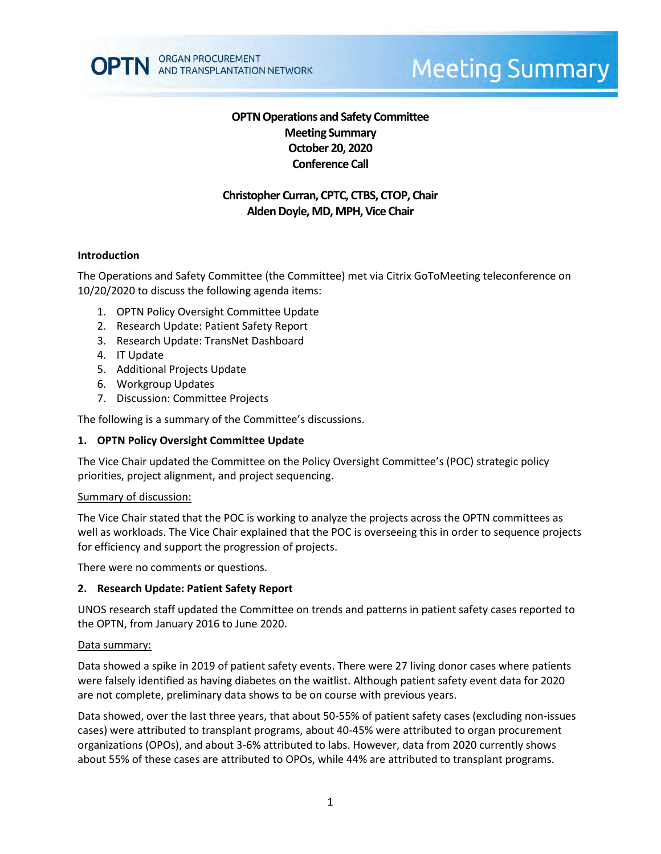

# **Meeting Summary**

# **OPTN Operations and Safety Committee Meeting Summary October 20, 2020 Conference Call**

# **Christopher Curran, CPTC, CTBS, CTOP, Chair Alden Doyle, MD, MPH, Vice Chair**

#### **Introduction**

The Operations and Safety Committee (the Committee) met via Citrix GoToMeeting teleconference on 10/20/2020 to discuss the following agenda items:

- 1. OPTN Policy Oversight Committee Update
- 2. Research Update: Patient Safety Report
- 3. Research Update: TransNet Dashboard
- 4. IT Update
- 5. Additional Projects Update
- 6. Workgroup Updates
- 7. Discussion: Committee Projects

The following is a summary of the Committee's discussions.

#### **1. OPTN Policy Oversight Committee Update**

The Vice Chair updated the Committee on the Policy Oversight Committee's (POC) strategic policy priorities, project alignment, and project sequencing.

#### Summary of discussion:

The Vice Chair stated that the POC is working to analyze the projects across the OPTN committees as well as workloads. The Vice Chair explained that the POC is overseeing this in order to sequence projects for efficiency and support the progression of projects.

There were no comments or questions.

#### **2. Research Update: Patient Safety Report**

UNOS research staff updated the Committee on trends and patterns in patient safety cases reported to the OPTN, from January 2016 to June 2020.

#### Data summary:

Data showed a spike in 2019 of patient safety events. There were 27 living donor cases where patients were falsely identified as having diabetes on the waitlist. Although patient safety event data for 2020 are not complete, preliminary data shows to be on course with previous years.

Data showed, over the last three years, that about 50-55% of patient safety cases (excluding non-issues cases) were attributed to transplant programs, about 40-45% were attributed to organ procurement organizations (OPOs), and about 3-6% attributed to labs. However, data from 2020 currently shows about 55% of these cases are attributed to OPOs, while 44% are attributed to transplant programs.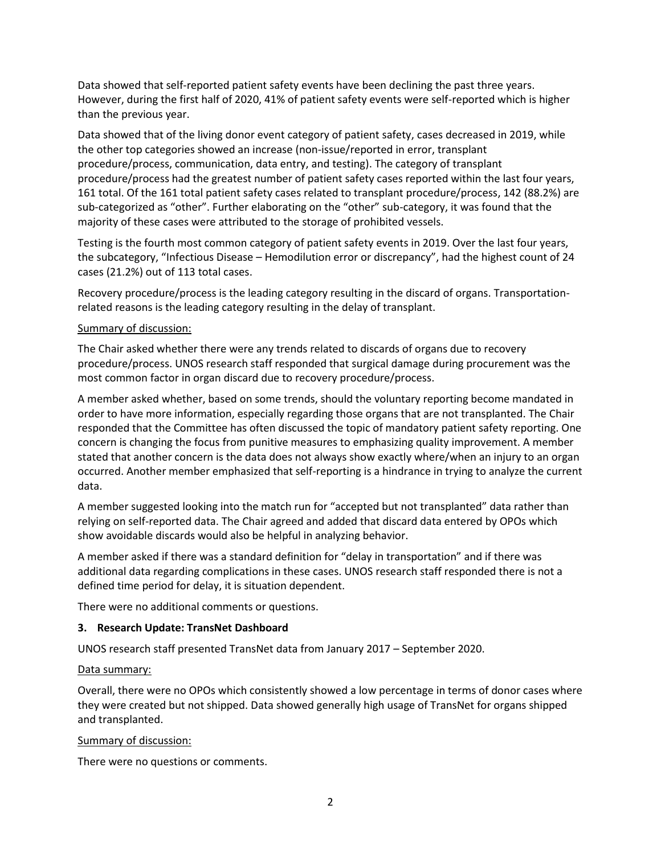Data showed that self-reported patient safety events have been declining the past three years. However, during the first half of 2020, 41% of patient safety events were self-reported which is higher than the previous year.

Data showed that of the living donor event category of patient safety, cases decreased in 2019, while the other top categories showed an increase (non-issue/reported in error, transplant procedure/process, communication, data entry, and testing). The category of transplant procedure/process had the greatest number of patient safety cases reported within the last four years, 161 total. Of the 161 total patient safety cases related to transplant procedure/process, 142 (88.2%) are sub-categorized as "other". Further elaborating on the "other" sub-category, it was found that the majority of these cases were attributed to the storage of prohibited vessels.

Testing is the fourth most common category of patient safety events in 2019. Over the last four years, the subcategory, "Infectious Disease – Hemodilution error or discrepancy", had the highest count of 24 cases (21.2%) out of 113 total cases.

Recovery procedure/process is the leading category resulting in the discard of organs. Transportationrelated reasons is the leading category resulting in the delay of transplant.

#### Summary of discussion:

The Chair asked whether there were any trends related to discards of organs due to recovery procedure/process. UNOS research staff responded that surgical damage during procurement was the most common factor in organ discard due to recovery procedure/process.

A member asked whether, based on some trends, should the voluntary reporting become mandated in order to have more information, especially regarding those organs that are not transplanted. The Chair responded that the Committee has often discussed the topic of mandatory patient safety reporting. One concern is changing the focus from punitive measures to emphasizing quality improvement. A member stated that another concern is the data does not always show exactly where/when an injury to an organ occurred. Another member emphasized that self-reporting is a hindrance in trying to analyze the current data.

A member suggested looking into the match run for "accepted but not transplanted" data rather than relying on self-reported data. The Chair agreed and added that discard data entered by OPOs which show avoidable discards would also be helpful in analyzing behavior.

A member asked if there was a standard definition for "delay in transportation" and if there was additional data regarding complications in these cases. UNOS research staff responded there is not a defined time period for delay, it is situation dependent.

There were no additional comments or questions.

## **3. Research Update: TransNet Dashboard**

UNOS research staff presented TransNet data from January 2017 – September 2020.

#### Data summary:

Overall, there were no OPOs which consistently showed a low percentage in terms of donor cases where they were created but not shipped. Data showed generally high usage of TransNet for organs shipped and transplanted.

#### Summary of discussion:

There were no questions or comments.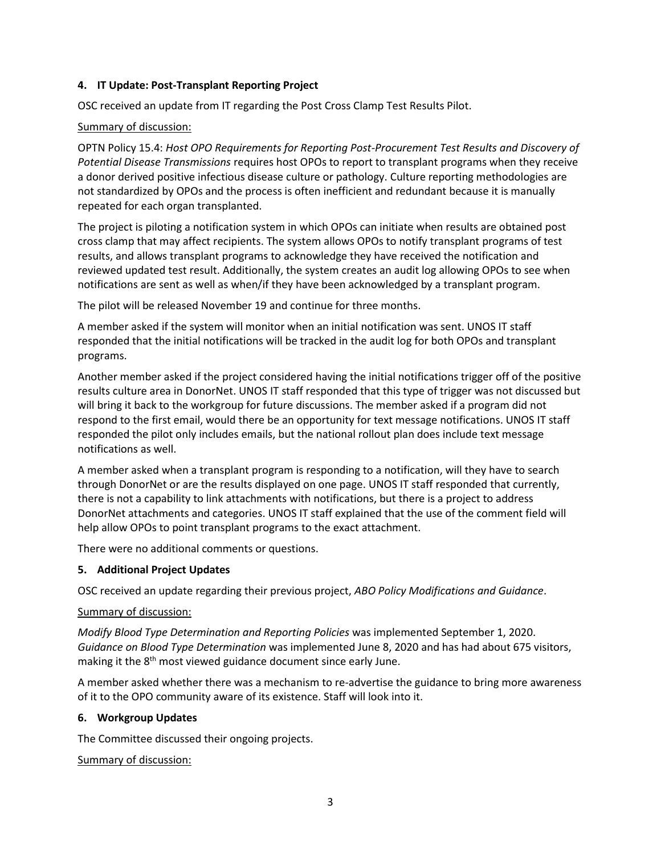## **4. IT Update: Post-Transplant Reporting Project**

OSC received an update from IT regarding the Post Cross Clamp Test Results Pilot.

## Summary of discussion:

OPTN Policy 15.4: *Host OPO Requirements for Reporting Post-Procurement Test Results and Discovery of Potential Disease Transmissions* requires host OPOs to report to transplant programs when they receive a donor derived positive infectious disease culture or pathology. Culture reporting methodologies are not standardized by OPOs and the process is often inefficient and redundant because it is manually repeated for each organ transplanted.

The project is piloting a notification system in which OPOs can initiate when results are obtained post cross clamp that may affect recipients. The system allows OPOs to notify transplant programs of test results, and allows transplant programs to acknowledge they have received the notification and reviewed updated test result. Additionally, the system creates an audit log allowing OPOs to see when notifications are sent as well as when/if they have been acknowledged by a transplant program.

The pilot will be released November 19 and continue for three months.

A member asked if the system will monitor when an initial notification was sent. UNOS IT staff responded that the initial notifications will be tracked in the audit log for both OPOs and transplant programs.

Another member asked if the project considered having the initial notifications trigger off of the positive results culture area in DonorNet. UNOS IT staff responded that this type of trigger was not discussed but will bring it back to the workgroup for future discussions. The member asked if a program did not respond to the first email, would there be an opportunity for text message notifications. UNOS IT staff responded the pilot only includes emails, but the national rollout plan does include text message notifications as well.

A member asked when a transplant program is responding to a notification, will they have to search through DonorNet or are the results displayed on one page. UNOS IT staff responded that currently, there is not a capability to link attachments with notifications, but there is a project to address DonorNet attachments and categories. UNOS IT staff explained that the use of the comment field will help allow OPOs to point transplant programs to the exact attachment.

There were no additional comments or questions.

## **5. Additional Project Updates**

OSC received an update regarding their previous project, *ABO Policy Modifications and Guidance*.

## Summary of discussion:

*Modify Blood Type Determination and Reporting Policies* was implemented September 1, 2020. *Guidance on Blood Type Determination* was implemented June 8, 2020 and has had about 675 visitors, making it the 8<sup>th</sup> most viewed guidance document since early June.

A member asked whether there was a mechanism to re-advertise the guidance to bring more awareness of it to the OPO community aware of its existence. Staff will look into it.

## **6. Workgroup Updates**

The Committee discussed their ongoing projects.

## Summary of discussion: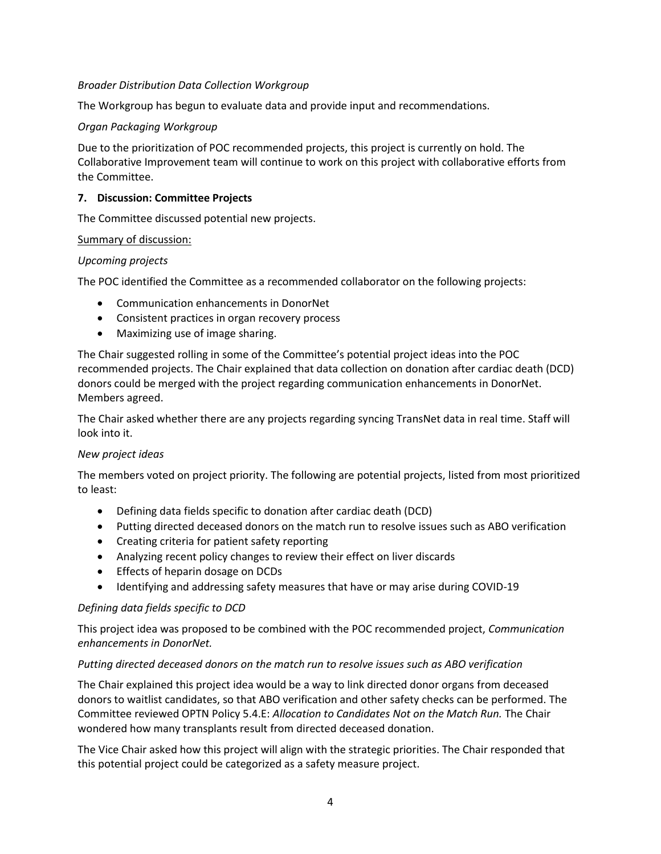## *Broader Distribution Data Collection Workgroup*

The Workgroup has begun to evaluate data and provide input and recommendations.

### *Organ Packaging Workgroup*

Due to the prioritization of POC recommended projects, this project is currently on hold. The Collaborative Improvement team will continue to work on this project with collaborative efforts from the Committee.

#### **7. Discussion: Committee Projects**

The Committee discussed potential new projects.

#### Summary of discussion:

#### *Upcoming projects*

The POC identified the Committee as a recommended collaborator on the following projects:

- Communication enhancements in DonorNet
- Consistent practices in organ recovery process
- Maximizing use of image sharing.

The Chair suggested rolling in some of the Committee's potential project ideas into the POC recommended projects. The Chair explained that data collection on donation after cardiac death (DCD) donors could be merged with the project regarding communication enhancements in DonorNet. Members agreed.

The Chair asked whether there are any projects regarding syncing TransNet data in real time. Staff will look into it.

## *New project ideas*

The members voted on project priority. The following are potential projects, listed from most prioritized to least:

- Defining data fields specific to donation after cardiac death (DCD)
- Putting directed deceased donors on the match run to resolve issues such as ABO verification
- Creating criteria for patient safety reporting
- Analyzing recent policy changes to review their effect on liver discards
- Effects of heparin dosage on DCDs
- Identifying and addressing safety measures that have or may arise during COVID-19

#### *Defining data fields specific to DCD*

This project idea was proposed to be combined with the POC recommended project, *Communication enhancements in DonorNet.*

#### *Putting directed deceased donors on the match run to resolve issues such as ABO verification*

The Chair explained this project idea would be a way to link directed donor organs from deceased donors to waitlist candidates, so that ABO verification and other safety checks can be performed. The Committee reviewed OPTN Policy 5.4.E: *Allocation to Candidates Not on the Match Run.* The Chair wondered how many transplants result from directed deceased donation.

The Vice Chair asked how this project will align with the strategic priorities. The Chair responded that this potential project could be categorized as a safety measure project.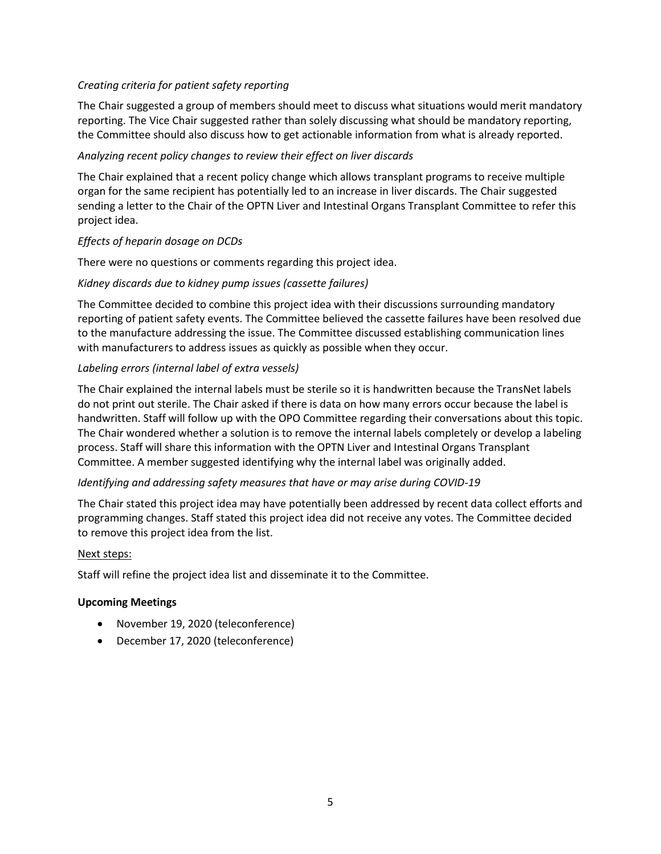## *Creating criteria for patient safety reporting*

The Chair suggested a group of members should meet to discuss what situations would merit mandatory reporting. The Vice Chair suggested rather than solely discussing what should be mandatory reporting, the Committee should also discuss how to get actionable information from what is already reported.

## *Analyzing recent policy changes to review their effect on liver discards*

The Chair explained that a recent policy change which allows transplant programs to receive multiple organ for the same recipient has potentially led to an increase in liver discards. The Chair suggested sending a letter to the Chair of the OPTN Liver and Intestinal Organs Transplant Committee to refer this project idea.

## *Effects of heparin dosage on DCDs*

There were no questions or comments regarding this project idea.

## *Kidney discards due to kidney pump issues (cassette failures)*

The Committee decided to combine this project idea with their discussions surrounding mandatory reporting of patient safety events. The Committee believed the cassette failures have been resolved due to the manufacture addressing the issue. The Committee discussed establishing communication lines with manufacturers to address issues as quickly as possible when they occur.

## *Labeling errors (internal label of extra vessels)*

The Chair explained the internal labels must be sterile so it is handwritten because the TransNet labels do not print out sterile. The Chair asked if there is data on how many errors occur because the label is handwritten. Staff will follow up with the OPO Committee regarding their conversations about this topic. The Chair wondered whether a solution is to remove the internal labels completely or develop a labeling process. Staff will share this information with the OPTN Liver and Intestinal Organs Transplant Committee. A member suggested identifying why the internal label was originally added.

# *Identifying and addressing safety measures that have or may arise during COVID-19*

The Chair stated this project idea may have potentially been addressed by recent data collect efforts and programming changes. Staff stated this project idea did not receive any votes. The Committee decided to remove this project idea from the list.

## Next steps:

Staff will refine the project idea list and disseminate it to the Committee.

## **Upcoming Meetings**

- November 19, 2020 (teleconference)
- December 17, 2020 (teleconference)